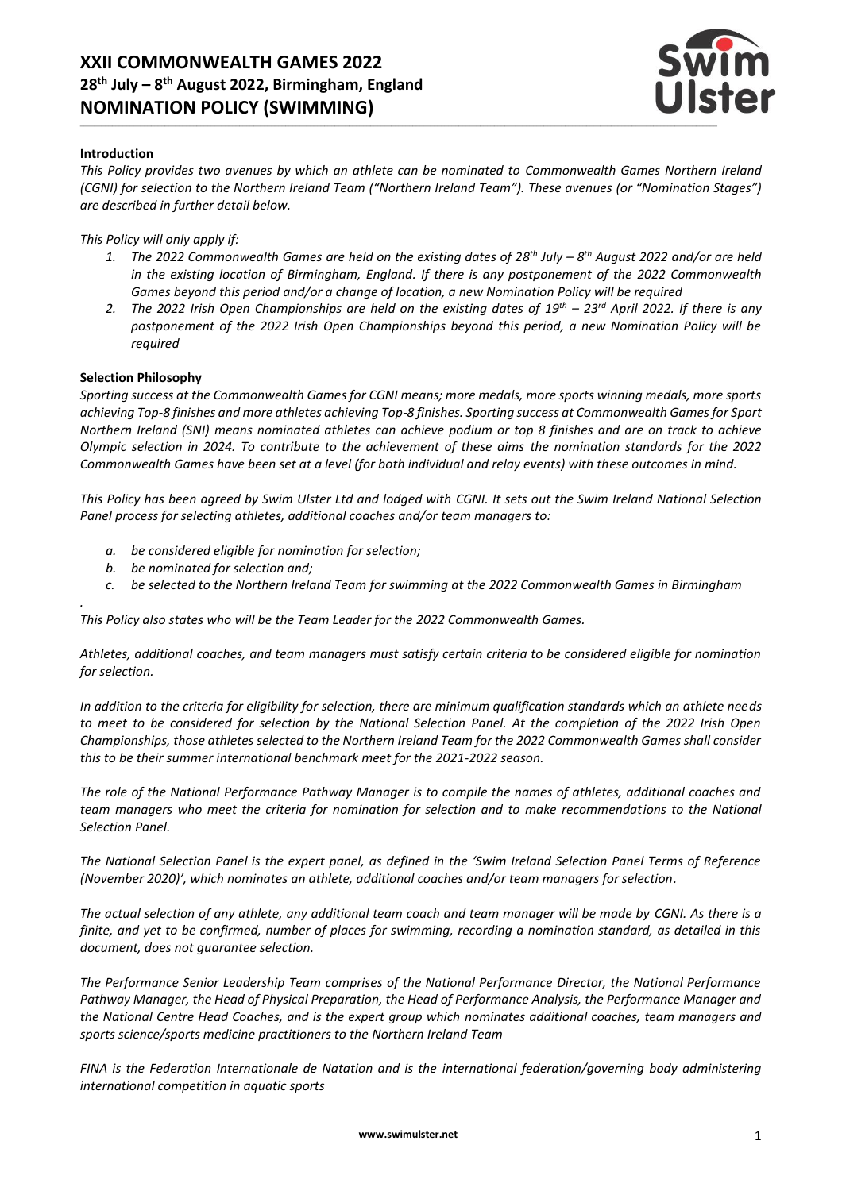# **XXII COMMONWEALTH GAMES 2022 28 th July – 8 th August 2022, Birmingham, England NOMINATION POLICY (SWIMMING)**



#### **Introduction**

*This Policy provides two avenues by which an athlete can be nominated to Commonwealth Games Northern Ireland (CGNI) for selection to the Northern Ireland Team ("Northern Ireland Team"). These avenues (or "Nomination Stages") are described in further detail below.*

#### *This Policy will only apply if:*

- *1. The 2022 Commonwealth Games are held on the existing dates of 28 th July – 8 th August 2022 and/or are held in the existing location of Birmingham, England. If there is any postponement of the 2022 Commonwealth Games beyond this period and/or a change of location, a new Nomination Policy will be required*
- *2. The 2022 Irish Open Championships are held on the existing dates of 19th – 23 rd April 2022. If there is any postponement of the 2022 Irish Open Championships beyond this period, a new Nomination Policy will be required*

#### **Selection Philosophy**

*.*

*Sporting success at the Commonwealth Games for CGNI means; more medals, more sports winning medals, more sports achieving Top-8 finishes and more athletes achieving Top-8 finishes. Sporting success at Commonwealth Games for Sport Northern Ireland (SNI) means nominated athletes can achieve podium or top 8 finishes and are on track to achieve Olympic selection in 2024. To contribute to the achievement of these aims the nomination standards for the 2022 Commonwealth Games have been set at a level (for both individual and relay events) with these outcomes in mind.*

*This Policy has been agreed by Swim Ulster Ltd and lodged with CGNI. It sets out the Swim Ireland National Selection Panel process for selecting athletes, additional coaches and/or team managers to:*

- *a. be considered eligible for nomination for selection;*
- *b. be nominated for selection and;*
- *c. be selected to the Northern Ireland Team for swimming at the 2022 Commonwealth Games in Birmingham*

*This Policy also states who will be the Team Leader for the 2022 Commonwealth Games.*

*Athletes, additional coaches, and team managers must satisfy certain criteria to be considered eligible for nomination for selection.*

*In addition to the criteria for eligibility for selection, there are minimum qualification standards which an athlete needs to meet to be considered for selection by the National Selection Panel. At the completion of the 2022 Irish Open Championships, those athletes selected to the Northern Ireland Team for the 2022 Commonwealth Games shall consider this to be their summer international benchmark meet for the 2021-2022 season.*

*The role of the National Performance Pathway Manager is to compile the names of athletes, additional coaches and team managers who meet the criteria for nomination for selection and to make recommendations to the National Selection Panel.*

*The National Selection Panel is the expert panel, as defined in the 'Swim Ireland Selection Panel Terms of Reference (November 2020)', which nominates an athlete, additional coaches and/or team managers for selection.*

*The actual selection of any athlete, any additional team coach and team manager will be made by CGNI. As there is a finite, and yet to be confirmed, number of places for swimming, recording a nomination standard, as detailed in this document, does not guarantee selection.*

*The Performance Senior Leadership Team comprises of the National Performance Director, the National Performance Pathway Manager, the Head of Physical Preparation, the Head of Performance Analysis, the Performance Manager and the National Centre Head Coaches, and is the expert group which nominates additional coaches, team managers and sports science/sports medicine practitioners to the Northern Ireland Team*

*FINA is the Federation Internationale de Natation and is the international federation/governing body administering international competition in aquatic sports*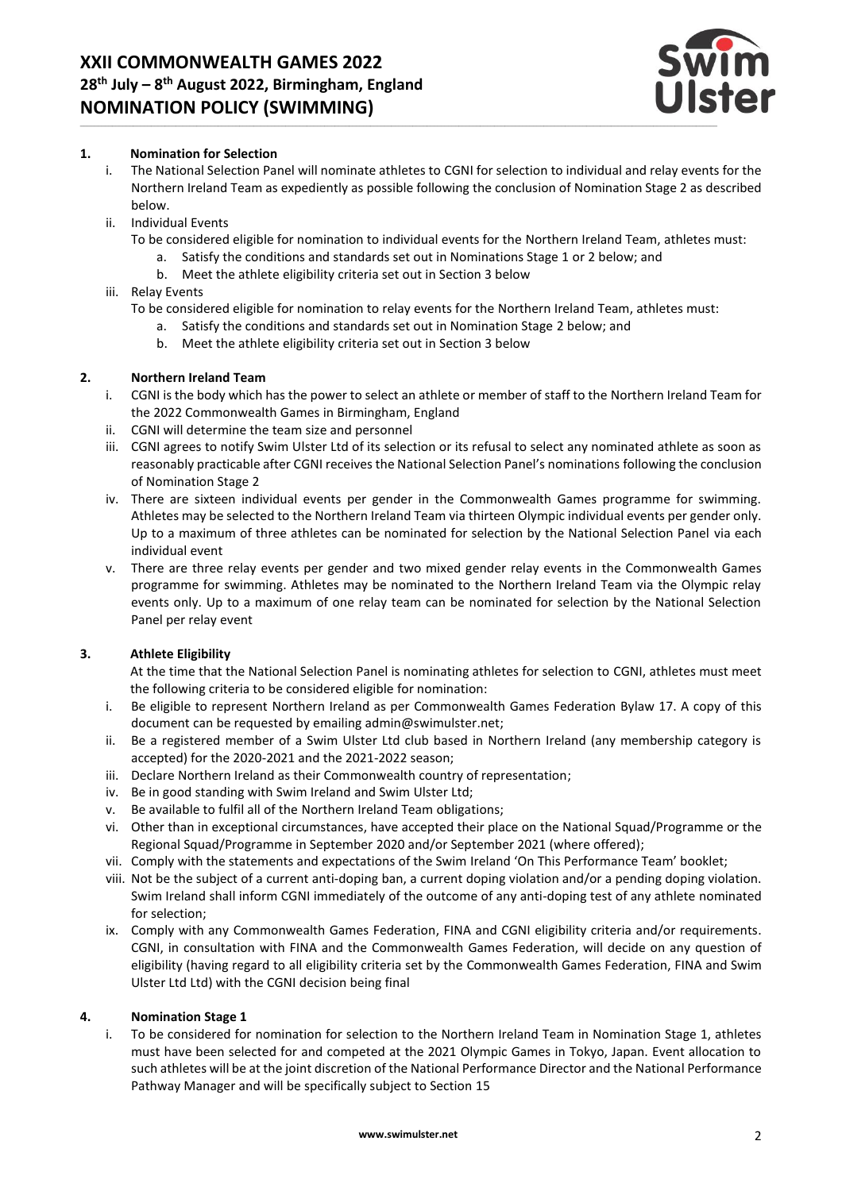

#### **1. Nomination for Selection**

- i. The National Selection Panel will nominate athletes to CGNI for selection to individual and relay events for the Northern Ireland Team as expediently as possible following the conclusion of Nomination Stage 2 as described below.
- ii. Individual Events
	- To be considered eligible for nomination to individual events for the Northern Ireland Team, athletes must:
		- a. Satisfy the conditions and standards set out in Nominations Stage 1 or 2 below; and
		- b. Meet the athlete eligibility criteria set out in Section 3 below
- iii. Relay Events

To be considered eligible for nomination to relay events for the Northern Ireland Team, athletes must:

- a. Satisfy the conditions and standards set out in Nomination Stage 2 below; and
- b. Meet the athlete eligibility criteria set out in Section 3 below

## **2. Northern Ireland Team**

- i. CGNI is the body which has the power to select an athlete or member of staff to the Northern Ireland Team for the 2022 Commonwealth Games in Birmingham, England
- ii. CGNI will determine the team size and personnel
- iii. CGNI agrees to notify Swim Ulster Ltd of its selection or its refusal to select any nominated athlete as soon as reasonably practicable after CGNI receives the National Selection Panel's nominations following the conclusion of Nomination Stage 2
- iv. There are sixteen individual events per gender in the Commonwealth Games programme for swimming. Athletes may be selected to the Northern Ireland Team via thirteen Olympic individual events per gender only. Up to a maximum of three athletes can be nominated for selection by the National Selection Panel via each individual event
- v. There are three relay events per gender and two mixed gender relay events in the Commonwealth Games programme for swimming. Athletes may be nominated to the Northern Ireland Team via the Olympic relay events only. Up to a maximum of one relay team can be nominated for selection by the National Selection Panel per relay event

# **3. Athlete Eligibility**

At the time that the National Selection Panel is nominating athletes for selection to CGNI, athletes must meet the following criteria to be considered eligible for nomination:

- i. Be eligible to represent Northern Ireland as per Commonwealth Games Federation Bylaw 17. A copy of this document can be requested by emailing admin@swimulster.net;
- ii. Be a registered member of a Swim Ulster Ltd club based in Northern Ireland (any membership category is accepted) for the 2020-2021 and the 2021-2022 season;
- iii. Declare Northern Ireland as their Commonwealth country of representation;
- iv. Be in good standing with Swim Ireland and Swim Ulster Ltd;
- v. Be available to fulfil all of the Northern Ireland Team obligations;
- vi. Other than in exceptional circumstances, have accepted their place on the National Squad/Programme or the Regional Squad/Programme in September 2020 and/or September 2021 (where offered);
- vii. Comply with the statements and expectations of the Swim Ireland 'On This Performance Team' booklet;
- viii. Not be the subject of a current anti-doping ban, a current doping violation and/or a pending doping violation. Swim Ireland shall inform CGNI immediately of the outcome of any anti-doping test of any athlete nominated for selection;
- ix. Comply with any Commonwealth Games Federation, FINA and CGNI eligibility criteria and/or requirements. CGNI, in consultation with FINA and the Commonwealth Games Federation, will decide on any question of eligibility (having regard to all eligibility criteria set by the Commonwealth Games Federation, FINA and Swim Ulster Ltd Ltd) with the CGNI decision being final

#### **4. Nomination Stage 1**

i. To be considered for nomination for selection to the Northern Ireland Team in Nomination Stage 1, athletes must have been selected for and competed at the 2021 Olympic Games in Tokyo, Japan. Event allocation to such athletes will be at the joint discretion of the National Performance Director and the National Performance Pathway Manager and will be specifically subject to Section 15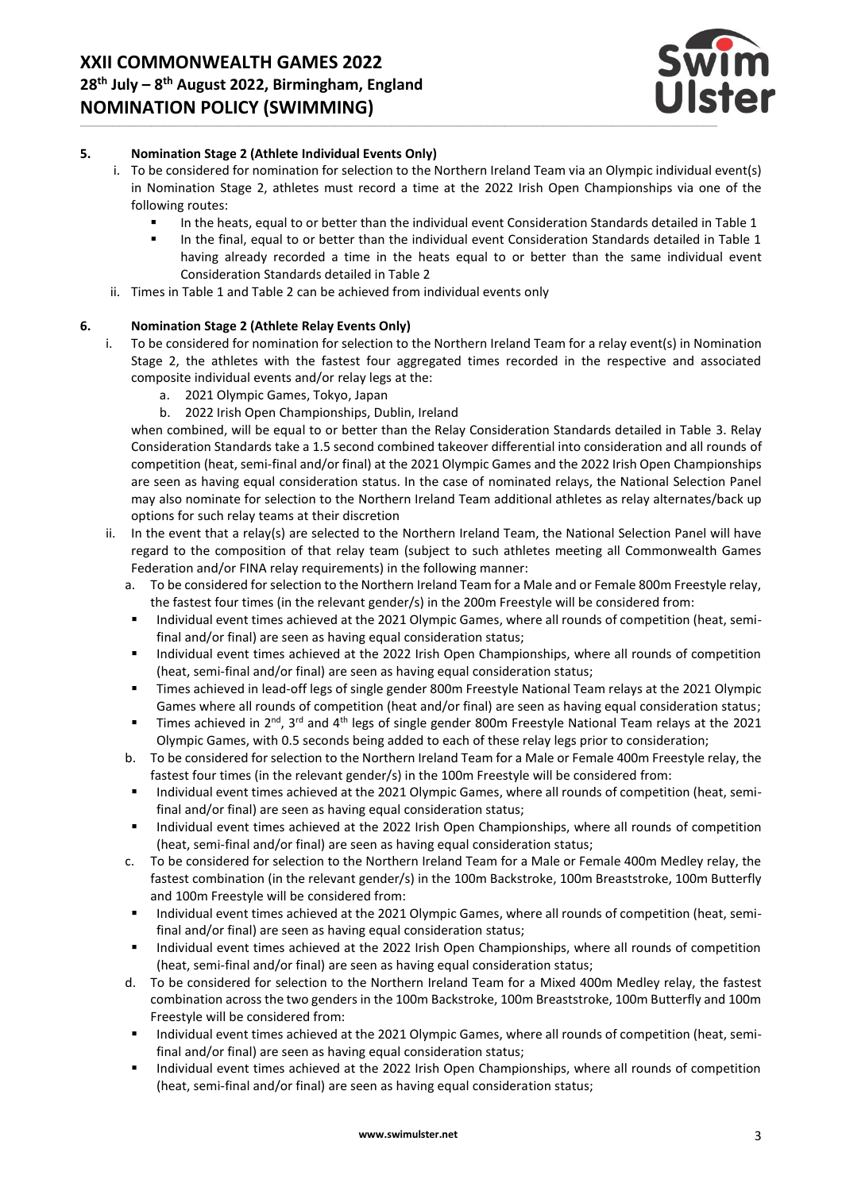

# **5. Nomination Stage 2 (Athlete Individual Events Only)**

- i. To be considered for nomination for selection to the Northern Ireland Team via an Olympic individual event(s) in Nomination Stage 2, athletes must record a time at the 2022 Irish Open Championships via one of the following routes:
	- In the heats, equal to or better than the individual event Consideration Standards detailed in Table 1<br>■ In the final equal to or better than the individual event Consideration Standards detailed in Table 1
	- In the final, equal to or better than the individual event Consideration Standards detailed in Table 1 having already recorded a time in the heats equal to or better than the same individual event Consideration Standards detailed in Table 2
- ii. Times in Table 1 and Table 2 can be achieved from individual events only

#### **6. Nomination Stage 2 (Athlete Relay Events Only)**

- i. To be considered for nomination for selection to the Northern Ireland Team for a relay event(s) in Nomination Stage 2, the athletes with the fastest four aggregated times recorded in the respective and associated composite individual events and/or relay legs at the:
	- a. 2021 Olympic Games, Tokyo, Japan
	- b. 2022 Irish Open Championships, Dublin, Ireland

when combined, will be equal to or better than the Relay Consideration Standards detailed in Table 3. Relay Consideration Standards take a 1.5 second combined takeover differential into consideration and all rounds of competition (heat, semi-final and/or final) at the 2021 Olympic Games and the 2022 Irish Open Championships are seen as having equal consideration status. In the case of nominated relays, the National Selection Panel may also nominate for selection to the Northern Ireland Team additional athletes as relay alternates/back up options for such relay teams at their discretion

- ii. In the event that a relay(s) are selected to the Northern Ireland Team, the National Selection Panel will have regard to the composition of that relay team (subject to such athletes meeting all Commonwealth Games Federation and/or FINA relay requirements) in the following manner:
	- a. To be considered for selection to the Northern Ireland Team for a Male and or Female 800m Freestyle relay, the fastest four times (in the relevant gender/s) in the 200m Freestyle will be considered from:
	- Individual event times achieved at the 2021 Olympic Games, where all rounds of competition (heat, semifinal and/or final) are seen as having equal consideration status;
	- Individual event times achieved at the 2022 Irish Open Championships, where all rounds of competition (heat, semi-final and/or final) are seen as having equal consideration status;
	- Times achieved in lead-off legs of single gender 800m Freestyle National Team relays at the 2021 Olympic Games where all rounds of competition (heat and/or final) are seen as having equal consideration status;
	- Times achieved in 2<sup>nd</sup>, 3<sup>rd</sup> and 4<sup>th</sup> legs of single gender 800m Freestyle National Team relays at the 2021 Olympic Games, with 0.5 seconds being added to each of these relay legs prior to consideration;
	- b. To be considered for selection to the Northern Ireland Team for a Male or Female 400m Freestyle relay, the fastest four times (in the relevant gender/s) in the 100m Freestyle will be considered from:
	- Individual event times achieved at the 2021 Olympic Games, where all rounds of competition (heat, semifinal and/or final) are seen as having equal consideration status;
	- Individual event times achieved at the 2022 Irish Open Championships, where all rounds of competition (heat, semi-final and/or final) are seen as having equal consideration status;
	- c. To be considered for selection to the Northern Ireland Team for a Male or Female 400m Medley relay, the fastest combination (in the relevant gender/s) in the 100m Backstroke, 100m Breaststroke, 100m Butterfly and 100m Freestyle will be considered from:
	- Individual event times achieved at the 2021 Olympic Games, where all rounds of competition (heat, semifinal and/or final) are seen as having equal consideration status;
	- Individual event times achieved at the 2022 Irish Open Championships, where all rounds of competition (heat, semi-final and/or final) are seen as having equal consideration status;
	- d. To be considered for selection to the Northern Ireland Team for a Mixed 400m Medley relay, the fastest combination across the two genders in the 100m Backstroke, 100m Breaststroke, 100m Butterfly and 100m Freestyle will be considered from:
	- Individual event times achieved at the 2021 Olympic Games, where all rounds of competition (heat, semifinal and/or final) are seen as having equal consideration status;
	- Individual event times achieved at the 2022 Irish Open Championships, where all rounds of competition (heat, semi-final and/or final) are seen as having equal consideration status;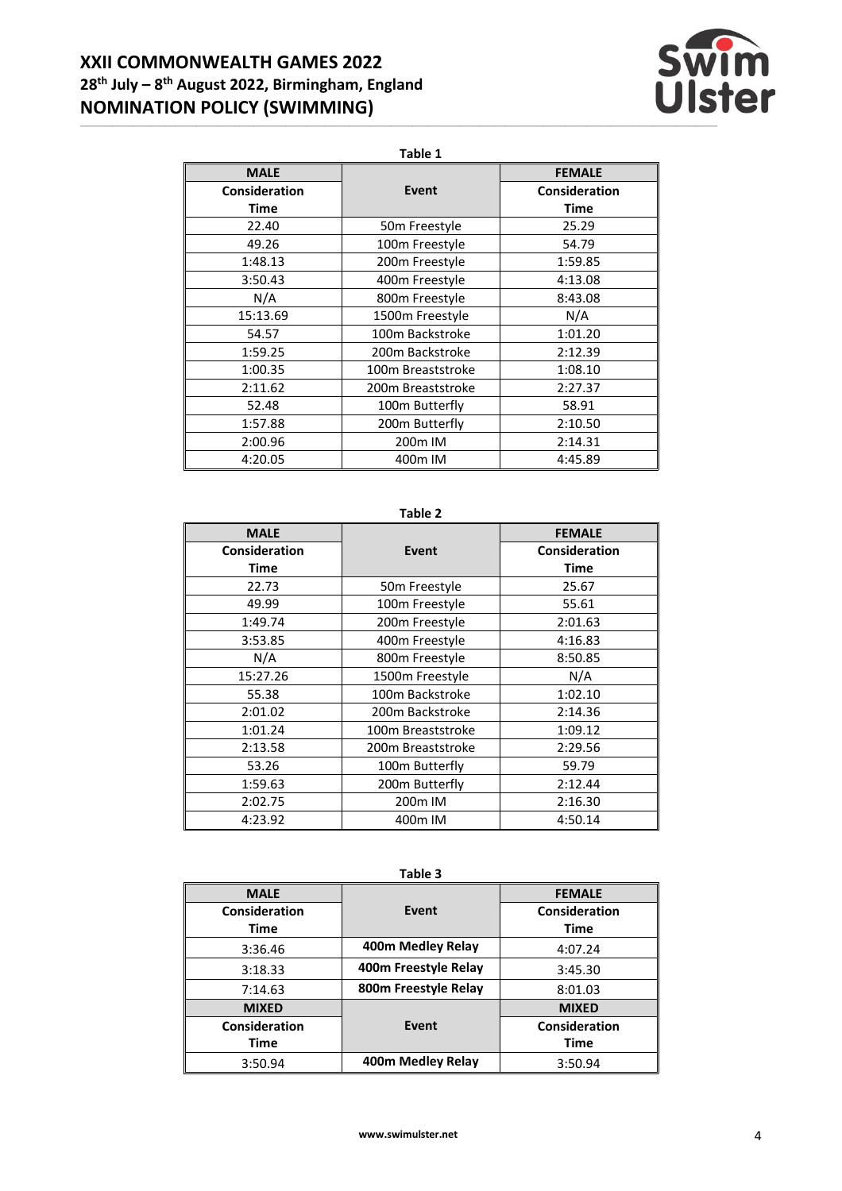# **XXII COMMONWEALTH GAMES 2022 28 th July – 8 th August 2022, Birmingham, England NOMINATION POLICY (SWIMMING)**



**Table 1**

| <b>MALE</b>   |                           | <b>FEMALE</b>        |
|---------------|---------------------------|----------------------|
| Consideration | Event                     | <b>Consideration</b> |
| Time          |                           | Time                 |
| 22.40         | 50 <sub>m</sub> Freestyle | 25.29                |
| 49.26         | 100m Freestyle            | 54.79                |
| 1:48.13       | 200m Freestyle            | 1:59.85              |
| 3:50.43       | 400m Freestyle            | 4:13.08              |
| N/A           | 800m Freestyle            | 8:43.08              |
| 15:13.69      | 1500m Freestyle           | N/A                  |
| 54.57         | 100m Backstroke           | 1:01.20              |
| 1:59.25       | 200m Backstroke           | 2:12.39              |
| 1:00.35       | 100m Breaststroke         | 1:08.10              |
| 2:11.62       | 200m Breaststroke         | 2:27.37              |
| 52.48         | 100m Butterfly            | 58.91                |
| 1:57.88       | 200m Butterfly            | 2:10.50              |
| 2:00.96       | 200 <sub>m</sub> IM       | 2:14.31              |
| 4:20.05       | 400m IM                   | 4:45.89              |

## **Table 2**

| <b>MALE</b>   |                     | <b>FEMALE</b> |
|---------------|---------------------|---------------|
| Consideration | <b>Event</b>        | Consideration |
| Time          |                     | Time          |
| 22.73         | 50m Freestyle       | 25.67         |
| 49.99         | 100m Freestyle      | 55.61         |
| 1:49.74       | 200m Freestyle      | 2:01.63       |
| 3:53.85       | 400m Freestyle      | 4:16.83       |
| N/A           | 800m Freestyle      | 8:50.85       |
| 15:27.26      | 1500m Freestyle     | N/A           |
| 55.38         | 100m Backstroke     | 1:02.10       |
| 2:01.02       | 200m Backstroke     | 2:14.36       |
| 1:01.24       | 100m Breaststroke   | 1:09.12       |
| 2:13.58       | 200m Breaststroke   | 2:29.56       |
| 53.26         | 100m Butterfly      | 59.79         |
| 1:59.63       | 200m Butterfly      | 2:12.44       |
| 2:02.75       | 200 <sub>m</sub> IM | 2:16.30       |
| 4:23.92       | 400m IM             | 4:50.14       |

**Table 3**

| <b>MALE</b>   |                      | <b>FEMALE</b> |
|---------------|----------------------|---------------|
| Consideration | Event                | Consideration |
| Time          |                      | Time          |
| 3:36.46       | 400m Medley Relay    | 4:07.24       |
| 3:18.33       | 400m Freestyle Relay | 3:45.30       |
| 7:14.63       | 800m Freestyle Relay | 8:01.03       |
| <b>MIXED</b>  |                      | <b>MIXED</b>  |
| Consideration | Event                | Consideration |
| Time          |                      | <b>Time</b>   |
| 3:50.94       | 400m Medley Relay    | 3:50.94       |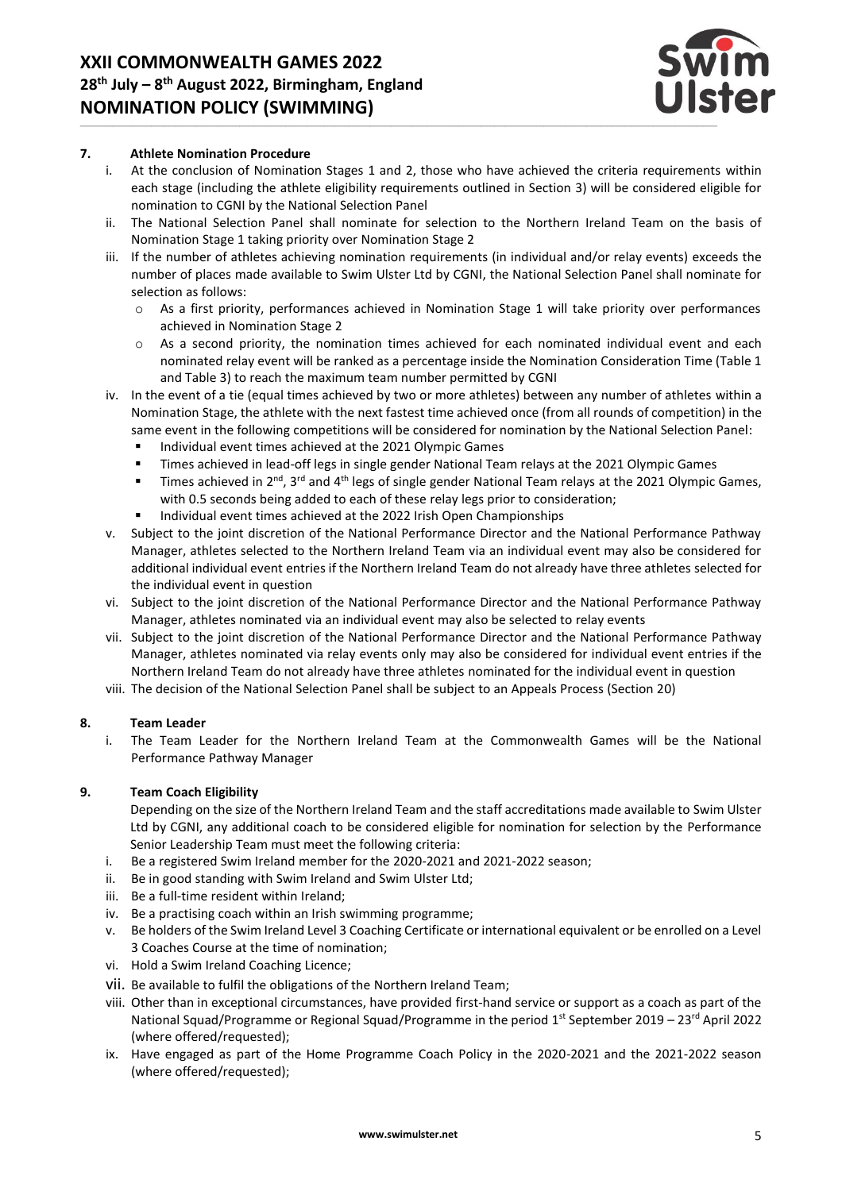

#### **7. Athlete Nomination Procedure**

- i. At the conclusion of Nomination Stages 1 and 2, those who have achieved the criteria requirements within each stage (including the athlete eligibility requirements outlined in Section 3) will be considered eligible for nomination to CGNI by the National Selection Panel
- ii. The National Selection Panel shall nominate for selection to the Northern Ireland Team on the basis of Nomination Stage 1 taking priority over Nomination Stage 2
- iii. If the number of athletes achieving nomination requirements (in individual and/or relay events) exceeds the number of places made available to Swim Ulster Ltd by CGNI, the National Selection Panel shall nominate for selection as follows:
	- o As a first priority, performances achieved in Nomination Stage 1 will take priority over performances achieved in Nomination Stage 2
	- o As a second priority, the nomination times achieved for each nominated individual event and each nominated relay event will be ranked as a percentage inside the Nomination Consideration Time (Table 1 and Table 3) to reach the maximum team number permitted by CGNI
- iv. In the event of a tie (equal times achieved by two or more athletes) between any number of athletes within a Nomination Stage, the athlete with the next fastest time achieved once (from all rounds of competition) in the same event in the following competitions will be considered for nomination by the National Selection Panel:
	- Individual event times achieved at the 2021 Olympic Games
	- **Times achieved in lead-off legs in single gender National Team relays at the 2021 Olympic Games**
	- Times achieved in 2<sup>nd</sup>, 3<sup>rd</sup> and 4<sup>th</sup> legs of single gender National Team relays at the 2021 Olympic Games, with 0.5 seconds being added to each of these relay legs prior to consideration;
	- Individual event times achieved at the 2022 Irish Open Championships
- v. Subject to the joint discretion of the National Performance Director and the National Performance Pathway Manager, athletes selected to the Northern Ireland Team via an individual event may also be considered for additional individual event entries if the Northern Ireland Team do not already have three athletes selected for the individual event in question
- vi. Subject to the joint discretion of the National Performance Director and the National Performance Pathway Manager, athletes nominated via an individual event may also be selected to relay events
- vii. Subject to the joint discretion of the National Performance Director and the National Performance Pathway Manager, athletes nominated via relay events only may also be considered for individual event entries if the Northern Ireland Team do not already have three athletes nominated for the individual event in question

viii. The decision of the National Selection Panel shall be subject to an Appeals Process (Section 20)

#### **8. Team Leader**

i. The Team Leader for the Northern Ireland Team at the Commonwealth Games will be the National Performance Pathway Manager

#### **9. Team Coach Eligibility**

Depending on the size of the Northern Ireland Team and the staff accreditations made available to Swim Ulster Ltd by CGNI, any additional coach to be considered eligible for nomination for selection by the Performance Senior Leadership Team must meet the following criteria:

- i. Be a registered Swim Ireland member for the 2020-2021 and 2021-2022 season;
- ii. Be in good standing with Swim Ireland and Swim Ulster Ltd;
- iii. Be a full-time resident within Ireland;
- iv. Be a practising coach within an Irish swimming programme;
- v. Be holders of the Swim Ireland Level 3 Coaching Certificate or international equivalent or be enrolled on a Level 3 Coaches Course at the time of nomination;
- vi. Hold a Swim Ireland Coaching Licence;
- vii. Be available to fulfil the obligations of the Northern Ireland Team;
- viii. Other than in exceptional circumstances, have provided first-hand service or support as a coach as part of the National Squad/Programme or Regional Squad/Programme in the period  $1<sup>st</sup>$  September 2019 – 23<sup>rd</sup> April 2022 (where offered/requested);
- ix. Have engaged as part of the Home Programme Coach Policy in the 2020-2021 and the 2021-2022 season (where offered/requested);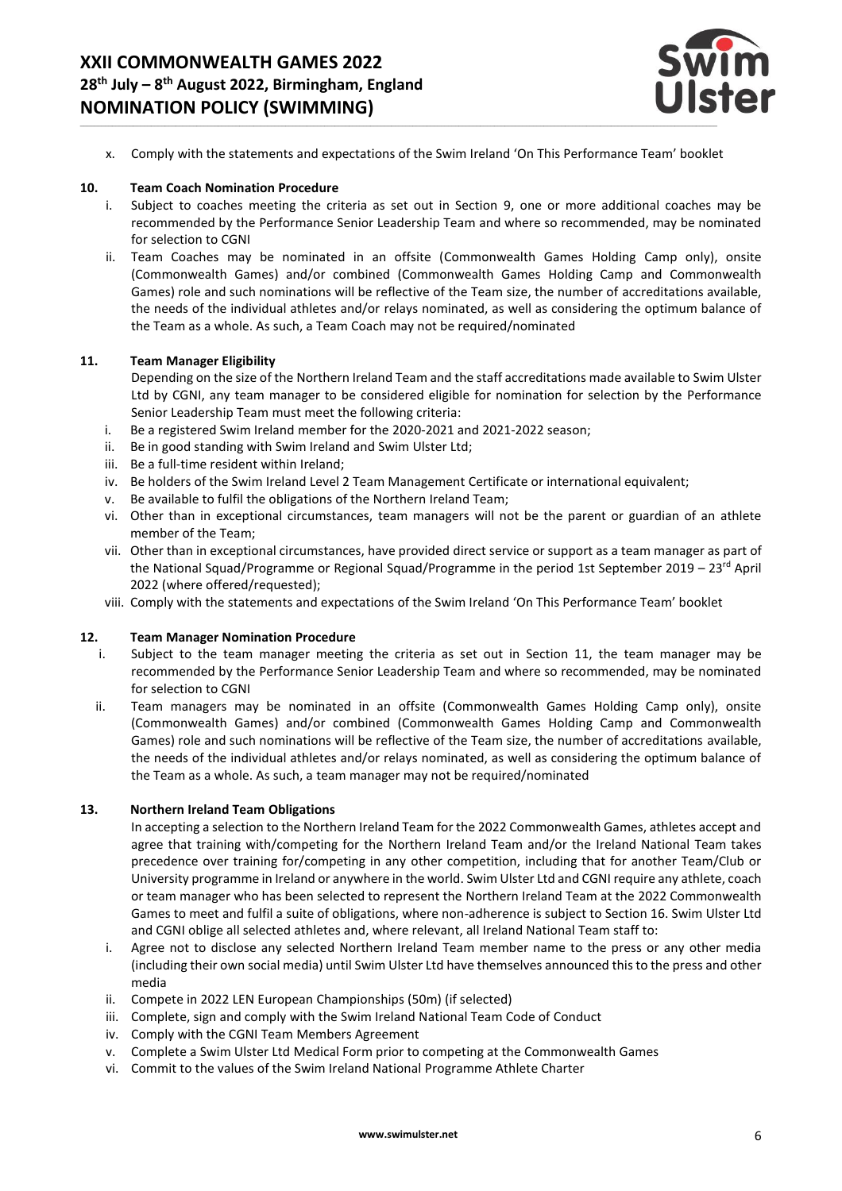

x. Comply with the statements and expectations of the Swim Ireland 'On This Performance Team' booklet

#### **10. Team Coach Nomination Procedure**

- i. Subject to coaches meeting the criteria as set out in Section 9, one or more additional coaches may be recommended by the Performance Senior Leadership Team and where so recommended, may be nominated for selection to CGNI
- ii. Team Coaches may be nominated in an offsite (Commonwealth Games Holding Camp only), onsite (Commonwealth Games) and/or combined (Commonwealth Games Holding Camp and Commonwealth Games) role and such nominations will be reflective of the Team size, the number of accreditations available, the needs of the individual athletes and/or relays nominated, as well as considering the optimum balance of the Team as a whole. As such, a Team Coach may not be required/nominated

#### **11. Team Manager Eligibility**

Depending on the size of the Northern Ireland Team and the staff accreditations made available to Swim Ulster Ltd by CGNI, any team manager to be considered eligible for nomination for selection by the Performance Senior Leadership Team must meet the following criteria:

- i. Be a registered Swim Ireland member for the 2020-2021 and 2021-2022 season;
- ii. Be in good standing with Swim Ireland and Swim Ulster Ltd;
- iii. Be a full-time resident within Ireland;
- iv. Be holders of the Swim Ireland Level 2 Team Management Certificate or international equivalent;
- v. Be available to fulfil the obligations of the Northern Ireland Team;
- vi. Other than in exceptional circumstances, team managers will not be the parent or guardian of an athlete member of the Team;
- vii. Other than in exceptional circumstances, have provided direct service or support as a team manager as part of the National Squad/Programme or Regional Squad/Programme in the period 1st September 2019 – 23<sup>rd</sup> April 2022 (where offered/requested);
- viii. Comply with the statements and expectations of the Swim Ireland 'On This Performance Team' booklet

#### **12. Team Manager Nomination Procedure**

- i. Subject to the team manager meeting the criteria as set out in Section 11, the team manager may be recommended by the Performance Senior Leadership Team and where so recommended, may be nominated for selection to CGNI
- ii. Team managers may be nominated in an offsite (Commonwealth Games Holding Camp only), onsite (Commonwealth Games) and/or combined (Commonwealth Games Holding Camp and Commonwealth Games) role and such nominations will be reflective of the Team size, the number of accreditations available, the needs of the individual athletes and/or relays nominated, as well as considering the optimum balance of the Team as a whole. As such, a team manager may not be required/nominated

#### **13. Northern Ireland Team Obligations**

In accepting a selection to the Northern Ireland Team for the 2022 Commonwealth Games, athletes accept and agree that training with/competing for the Northern Ireland Team and/or the Ireland National Team takes precedence over training for/competing in any other competition, including that for another Team/Club or University programme in Ireland or anywhere in the world. Swim Ulster Ltd and CGNI require any athlete, coach or team manager who has been selected to represent the Northern Ireland Team at the 2022 Commonwealth Games to meet and fulfil a suite of obligations, where non-adherence is subject to Section 16. Swim Ulster Ltd and CGNI oblige all selected athletes and, where relevant, all Ireland National Team staff to:

- i. Agree not to disclose any selected Northern Ireland Team member name to the press or any other media (including their own social media) until Swim Ulster Ltd have themselves announced this to the press and other media
- ii. Compete in 2022 LEN European Championships (50m) (if selected)
- iii. Complete, sign and comply with the Swim Ireland National Team Code of Conduct
- iv. Comply with the CGNI Team Members Agreement
- v. Complete a Swim Ulster Ltd Medical Form prior to competing at the Commonwealth Games
- vi. Commit to the values of the Swim Ireland National Programme Athlete Charter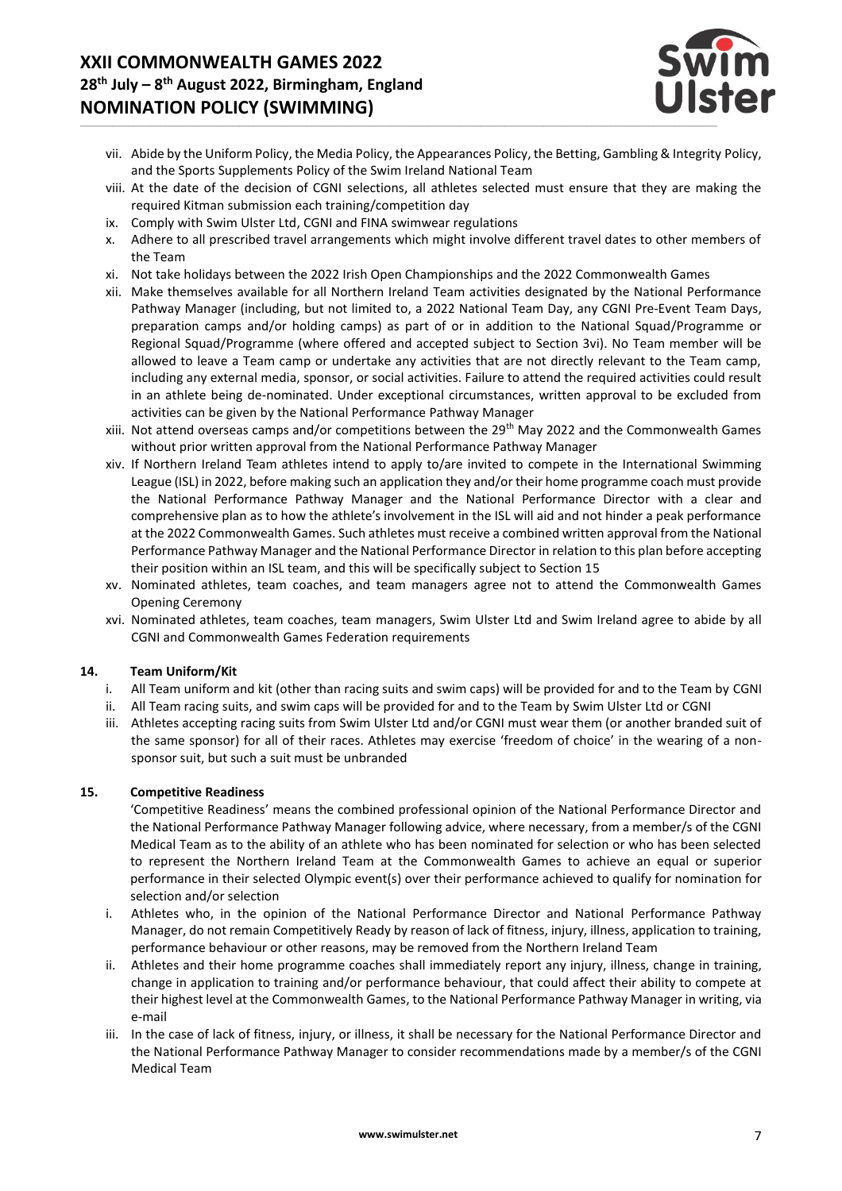

- vii. Abide by the Uniform Policy, the Media Policy, the Appearances Policy, the Betting, Gambling & Integrity Policy, and the Sports Supplements Policy of the Swim Ireland National Team
- viii. At the date of the decision of CGNI selections, all athletes selected must ensure that they are making the required Kitman submission each training/competition day
- ix. Comply with Swim Ulster Ltd, CGNI and FINA swimwear regulations
- x. Adhere to all prescribed travel arrangements which might involve different travel dates to other members of the Team
- xi. Not take holidays between the 2022 Irish Open Championships and the 2022 Commonwealth Games
- xii. Make themselves available for all Northern Ireland Team activities designated by the National Performance Pathway Manager (including, but not limited to, a 2022 National Team Day, any CGNI Pre-Event Team Days, preparation camps and/or holding camps) as part of or in addition to the National Squad/Programme or Regional Squad/Programme (where offered and accepted subject to Section 3vi). No Team member will be allowed to leave a Team camp or undertake any activities that are not directly relevant to the Team camp, including any external media, sponsor, or social activities. Failure to attend the required activities could result in an athlete being de-nominated. Under exceptional circumstances, written approval to be excluded from activities can be given by the National Performance Pathway Manager
- xiii. Not attend overseas camps and/or competitions between the 29th May 2022 and the Commonwealth Games without prior written approval from the National Performance Pathway Manager
- xiv. If Northern Ireland Team athletes intend to apply to/are invited to compete in the International Swimming League (ISL) in 2022, before making such an application they and/or their home programme coach must provide the National Performance Pathway Manager and the National Performance Director with a clear and comprehensive plan as to how the athlete's involvement in the ISL will aid and not hinder a peak performance at the 2022 Commonwealth Games. Such athletes must receive a combined written approval from the National Performance Pathway Manager and the National Performance Director in relation to this plan before accepting their position within an ISL team, and this will be specifically subject to Section 15
- xv. Nominated athletes, team coaches, and team managers agree not to attend the Commonwealth Games Opening Ceremony
- xvi. Nominated athletes, team coaches, team managers, Swim Ulster Ltd and Swim Ireland agree to abide by all CGNI and Commonwealth Games Federation requirements

# **14. Team Uniform/Kit**

- All Team uniform and kit (other than racing suits and swim caps) will be provided for and to the Team by CGNI
- ii. All Team racing suits, and swim caps will be provided for and to the Team by Swim Ulster Ltd or CGNI
- iii. Athletes accepting racing suits from Swim Ulster Ltd and/or CGNI must wear them (or another branded suit of the same sponsor) for all of their races. Athletes may exercise 'freedom of choice' in the wearing of a nonsponsor suit, but such a suit must be unbranded

# **15. Competitive Readiness**

'Competitive Readiness' means the combined professional opinion of the National Performance Director and the National Performance Pathway Manager following advice, where necessary, from a member/s of the CGNI Medical Team as to the ability of an athlete who has been nominated for selection or who has been selected to represent the Northern Ireland Team at the Commonwealth Games to achieve an equal or superior performance in their selected Olympic event(s) over their performance achieved to qualify for nomination for selection and/or selection

- i. Athletes who, in the opinion of the National Performance Director and National Performance Pathway Manager, do not remain Competitively Ready by reason of lack of fitness, injury, illness, application to training, performance behaviour or other reasons, may be removed from the Northern Ireland Team
- ii. Athletes and their home programme coaches shall immediately report any injury, illness, change in training, change in application to training and/or performance behaviour, that could affect their ability to compete at their highest level at the Commonwealth Games, to the National Performance Pathway Manager in writing, via e-mail
- iii. In the case of lack of fitness, injury, or illness, it shall be necessary for the National Performance Director and the National Performance Pathway Manager to consider recommendations made by a member/s of the CGNI Medical Team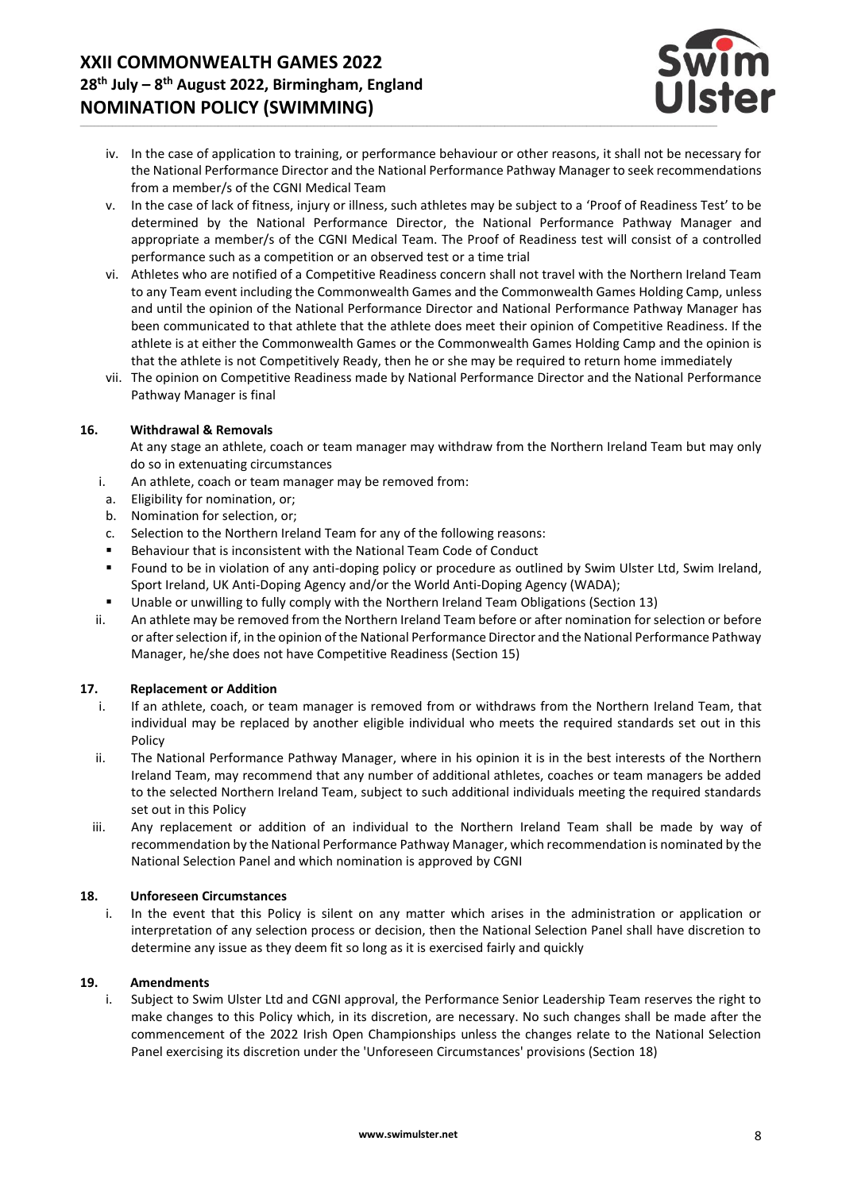

- iv. In the case of application to training, or performance behaviour or other reasons, it shall not be necessary for the National Performance Director and the National Performance Pathway Manager to seek recommendations from a member/s of the CGNI Medical Team
- v. In the case of lack of fitness, injury or illness, such athletes may be subject to a 'Proof of Readiness Test' to be determined by the National Performance Director, the National Performance Pathway Manager and appropriate a member/s of the CGNI Medical Team. The Proof of Readiness test will consist of a controlled performance such as a competition or an observed test or a time trial
- vi. Athletes who are notified of a Competitive Readiness concern shall not travel with the Northern Ireland Team to any Team event including the Commonwealth Games and the Commonwealth Games Holding Camp, unless and until the opinion of the National Performance Director and National Performance Pathway Manager has been communicated to that athlete that the athlete does meet their opinion of Competitive Readiness. If the athlete is at either the Commonwealth Games or the Commonwealth Games Holding Camp and the opinion is that the athlete is not Competitively Ready, then he or she may be required to return home immediately
- vii. The opinion on Competitive Readiness made by National Performance Director and the National Performance Pathway Manager is final

#### **16. Withdrawal & Removals**

At any stage an athlete, coach or team manager may withdraw from the Northern Ireland Team but may only do so in extenuating circumstances

- i. An athlete, coach or team manager may be removed from:
- a. Eligibility for nomination, or;
- b. Nomination for selection, or;
- c. Selection to the Northern Ireland Team for any of the following reasons:
- Behaviour that is inconsistent with the National Team Code of Conduct
- Found to be in violation of any anti-doping policy or procedure as outlined by Swim Ulster Ltd, Swim Ireland, Sport Ireland, UK Anti-Doping Agency and/or the World Anti-Doping Agency (WADA);
- Unable or unwilling to fully comply with the Northern Ireland Team Obligations (Section 13)
- ii. An athlete may be removed from the Northern Ireland Team before or after nomination for selection or before or after selection if, in the opinion of the National Performance Director and the National Performance Pathway Manager, he/she does not have Competitive Readiness (Section 15)

#### **17. Replacement or Addition**

- i. If an athlete, coach, or team manager is removed from or withdraws from the Northern Ireland Team, that individual may be replaced by another eligible individual who meets the required standards set out in this Policy
- ii. The National Performance Pathway Manager, where in his opinion it is in the best interests of the Northern Ireland Team, may recommend that any number of additional athletes, coaches or team managers be added to the selected Northern Ireland Team, subject to such additional individuals meeting the required standards set out in this Policy
- iii. Any replacement or addition of an individual to the Northern Ireland Team shall be made by way of recommendation by the National Performance Pathway Manager, which recommendation is nominated by the National Selection Panel and which nomination is approved by CGNI

#### **18. Unforeseen Circumstances**

i. In the event that this Policy is silent on any matter which arises in the administration or application or interpretation of any selection process or decision, then the National Selection Panel shall have discretion to determine any issue as they deem fit so long as it is exercised fairly and quickly

#### **19. Amendments**

i. Subject to Swim Ulster Ltd and CGNI approval, the Performance Senior Leadership Team reserves the right to make changes to this Policy which, in its discretion, are necessary. No such changes shall be made after the commencement of the 2022 Irish Open Championships unless the changes relate to the National Selection Panel exercising its discretion under the 'Unforeseen Circumstances' provisions (Section 18)